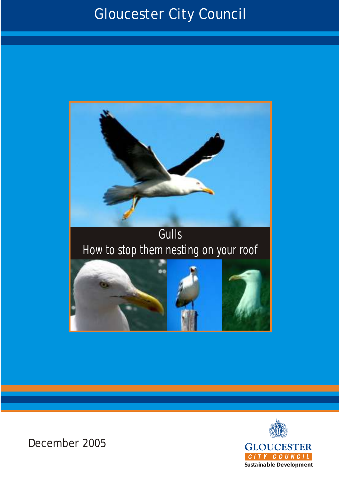### Gloucester City Council







December 2005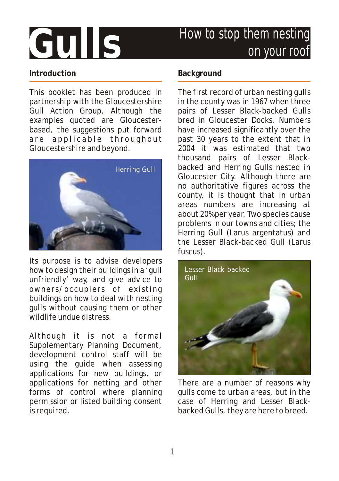## **Gulls**

### How to stop them nesting on your roof

#### **Introduction**

This booklet has been produced in partnership with the Gloucestershire Gull Action Group. Although the examples quoted are Gloucesterbased, the suggestions put forward are applicable throughout Gloucestershire and beyond.



Its purpose is to advise developers how to design their buildings in a 'gull unfriendly' way, and give advice to owners/occupiers of existing buildings on how to deal with nesting gulls without causing them or other wildlife undue distress.

Although it is not a formal Supplementary Planning Document, development control staff will be using the guide when assessing applications for new buildings, or applications for netting and other forms of control where planning permission or listed building consent is required.

#### **Background**

The first record of urban nesting gulls in the county was in 1967 when three pairs of Lesser Black-backed Gulls bred in Gloucester Docks. Numbers have increased significantly over the past 30 years to the extent that in 2004 it was estimated that two thousand pairs of Lesser Blackbacked and Herring Gulls nested in Gloucester City. Although there are no authoritative figures across the county, it is thought that in urban areas numbers are increasing at about 20% per year. Two species cause problems in our towns and cities; the Herring Gull (Larus argentatus) and the Lesser Black-backed Gull (Larus fuscus).



There are a number of reasons why gulls come to urban areas, but in the case of Herring and Lesser Blackbacked Gulls, they are here to breed.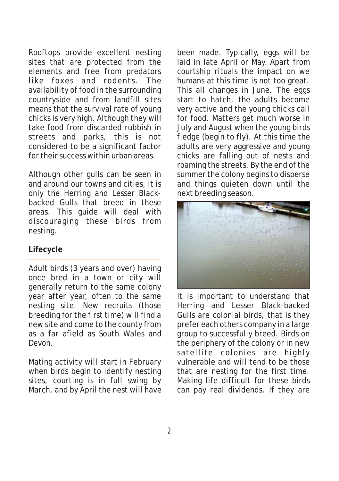Rooftops provide excellent nesting sites that are protected from the elements and free from predators like foxes and rodents. The availability of food in the surrounding countryside and from landfill sites means that the survival rate of young chicks is very high. Although they will take food from discarded rubbish in streets and parks, this is not considered to be a significant factor for their success within urban areas.

Although other gulls can be seen in and around our towns and cities, it is only the Herring and Lesser Blackbacked Gulls that breed in these areas. This guide will deal with discouraging these birds from nesting.

#### **Lifecycle**

Adult birds (3 years and over) having once bred in a town or city will generally return to the same colony year after year, often to the same nesting site. New recruits (those breeding for the first time) will find a new site and come to the county from as a far afield as South Wales and Devon.

Mating activity will start in February when birds begin to identify nesting sites, courting is in full swing by March, and by April the nest will have been made. Typically, eggs will be laid in late April or May. Apart from courtship rituals the impact on we humans at this time is not too great. This all changes in June. The eggs start to hatch, the adults become very active and the young chicks call for food. Matters get much worse in July and August when the young birds fledge (begin to fly). At this time the adults are very aggressive and young chicks are falling out of nests and roaming the streets. By the end of the summer the colony begins to disperse and things quieten down until the next breeding season.



It is important to understand that Herring and Lesser Black-backed Gulls are colonial birds, that is they prefer each others company in a large group to successfully breed. Birds on the periphery of the colony or in new satellite colonies are highly vulnerable and will tend to be those that are nesting for the first time. Making life difficult for these birds can pay real dividends. If they are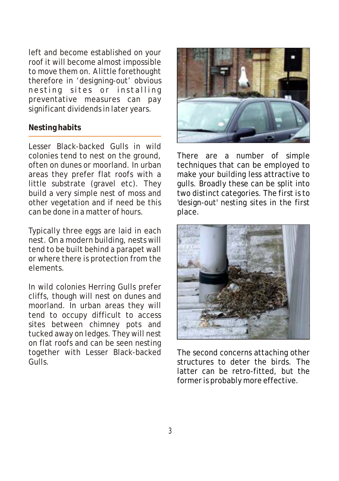left and become established on your roof it will become almost impossible to move them on. A little forethought therefore in 'designing-out' obvious nesting sites or installing preventative measures can pay significant dividends in later years.

#### **Nesting habits**

Lesser Black-backed Gulls in wild colonies tend to nest on the ground, often on dunes or moorland. In urban areas they prefer flat roofs with a little substrate (gravel etc). They build a very simple nest of moss and other vegetation and if need be this can be done in a matter of hours.

Typically three eggs are laid in each nest. On a modern building, nests will tend to be built behind a parapet wall or where there is protection from the elements.

In wild colonies Herring Gulls prefer cliffs, though will nest on dunes and moorland. In urban areas they will tend to occupy difficult to access sites between chimney pots and tucked away on ledges. They will nest on flat roofs and can be seen nesting together with Lesser Black-backed Gulls.



There are a number of simple techniques that can be employed to make your building less attractive to gulls. Broadly these can be split into two distinct categories. The first is to 'design-out' nesting sites in the first place.



The second concerns attaching other structures to deter the birds. The latter can be retro-fitted, but the former is probably more effective.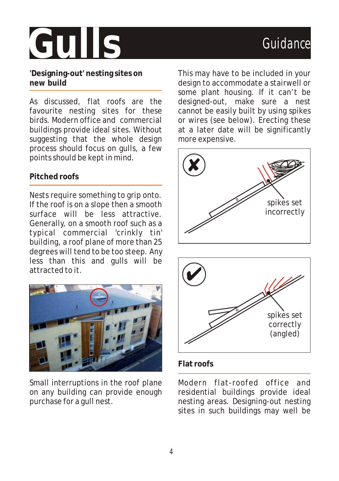# Gulls Guidance

**'Designing-out' nesting sites on new build**

As discussed, flat roofs are the favourite nesting sites for these birds. Modern office and commercial buildings provide ideal sites. Without suggesting that the whole design process should focus on gulls, a few points should be kept in mind.

#### **Pitched roofs**

Nests require something to grip onto. If the roof is on a slope then a smooth surface will be less attractive. Generally, on a smooth roof such as a typical commercial 'crinkly tin' building, a roof plane of more than 25 degrees will tend to be too steep. Any less than this and gulls will be attracted to it.



Small interruptions in the roof plane on any building can provide enough purchase for a gull nest.

This may have to be included in your design to accommodate a stairwell or some plant housing. If it can't be designed-out, make sure a nest cannot be easily built by using spikes or wires (see below). Erecting these at a later date will be significantly more expensive.





#### **Flat roofs**

Modern flat-roofed office and residential buildings provide ideal nesting areas. Designing-out nesting sites in such buildings may well be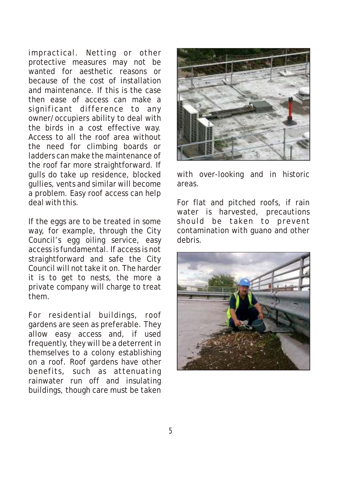impractical. Netting or other protective measures may not be wanted for aesthetic reasons or because of the cost of installation and maintenance. If this is the case then ease of access can make a significant difference to any owner/occupiers ability to deal with the birds in a cost effective way. Access to all the roof area without the need for climbing boards or ladders can make the maintenance of the roof far more straightforward. If gulls do take up residence, blocked gullies, vents and similar will become a problem. Easy roof access can help deal with this.

If the eggs are to be treated in some way, for example, through the City Council's egg oiling service, easy access is fundamental. If access is not straightforward and safe the City Council will not take it on. The harder it is to get to nests, the more a private company will charge to treat them.

For residential buildings, roof gardens are seen as preferable. They allow easy access and, if used frequently, they will be a deterrent in themselves to a colony establishing on a roof. Roof gardens have other benefits, such as attenuating rainwater run off and insulating buildings, though care must be taken



with over-looking and in historic areas.

For flat and pitched roofs, if rain water is harvested, precautions should be taken to prevent contamination with guano and other debris.

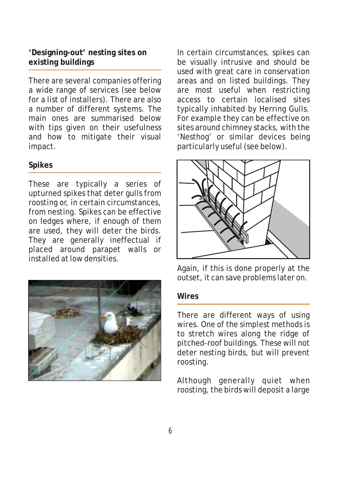**'Designing-out' nesting sites on existing buildings**

There are several companies offering a wide range of services (see below for a list of installers). There are also a number of different systems. The main ones are summarised below with tips given on their usefulness and how to mitigate their visual impact.

#### **Spikes**

These are typically a series of upturned spikes that deter gulls from roosting or, in certain circumstances, from nesting. Spikes can be effective on ledges where, if enough of them are used, they will deter the birds. They are generally ineffectual if placed around parapet walls or installed at low densities.



In certain circumstances, spikes can be visually intrusive and should be used with great care in conservation areas and on listed buildings. They are most useful when restricting access to certain localised sites typically inhabited by Herring Gulls. For example they can be effective on sites around chimney stacks, with the 'Nesthog' or similar devices being particularly useful (see below).



Again, if this is done properly at the outset, it can save problems later on.

#### **Wires**

There are different ways of using wires. One of the simplest methods is to stretch wires along the ridge of pitched-roof buildings. These will not deter nesting birds, but will prevent roosting.

Although generally quiet when roosting, the birds will deposit a large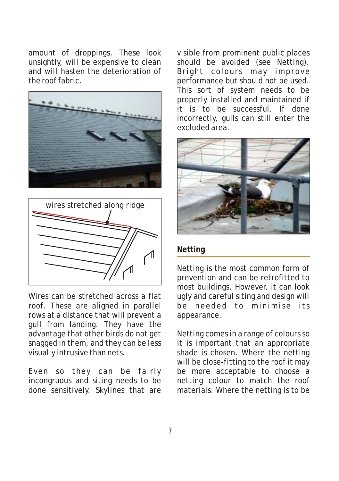amount of droppings. These look unsightly, will be expensive to clean and will hasten the deterioration of the roof fabric.





Wires can be stretched across a flat roof. These are aligned in parallel rows at a distance that will prevent a gull from landing. They have the advantage that other birds do not get snagged in them, and they can be less visually intrusive than nets.

Even so they can be fairly incongruous and siting needs to be done sensitively. Skylines that are visible from prominent public places should be avoided (see Netting). Bright colours may improve performance but should not be used. This sort of system needs to be properly installed and maintained if it is to be successful. If done incorrectly, gulls can still enter the excluded area.



#### **Netting**

Netting is the most common form of prevention and can be retrofitted to most buildings. However, it can look ugly and careful siting and design will be needed to minimise its appearance.

Netting comes in a range of colours so it is important that an appropriate shade is chosen. Where the netting will be close-fitting to the roof it may be more acceptable to choose a netting colour to match the roof materials. Where the netting is to be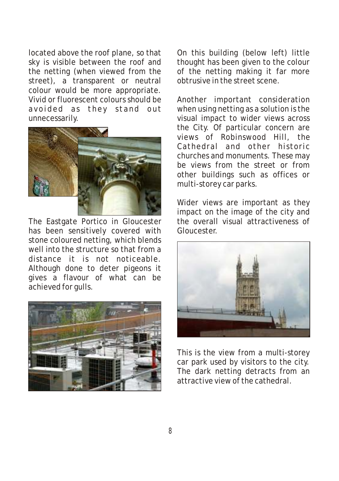located above the roof plane, so that sky is visible between the roof and the netting (when viewed from the street), a transparent or neutral colour would be more appropriate. Vivid or fluorescent colours should be avoided as they stand out unnecessarily.



The Eastgate Portico in Gloucester has been sensitively covered with stone coloured netting, which blends well into the structure so that from a distance it is not noticeable. Although done to deter pigeons it gives a flavour of what can be achieved for gulls.



On this building (below left) little thought has been given to the colour of the netting making it far more obtrusive in the street scene.

Another important consideration when using netting as a solution is the visual impact to wider views across the City. Of particular concern are views of Robinswood Hill, the Cathedral and other historic churches and monuments. These may be views from the street or from other buildings such as offices or multi-storey car parks.

Wider views are important as they impact on the image of the city and the overall visual attractiveness of Gloucester.



This is the view from a multi-storey car park used by visitors to the city. The dark netting detracts from an attractive view of the cathedral.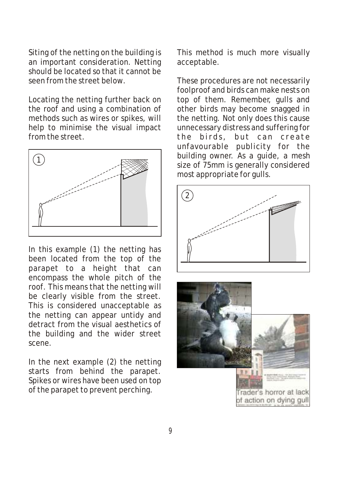Siting of the netting on the building is an important consideration. Netting should be located so that it cannot be seen from the street below.

Locating the netting further back on the roof and using a combination of methods such as wires or spikes, will help to minimise the visual impact from the street.



In this example (1) the netting has been located from the top of the parapet to a height that can encompass the whole pitch of the roof. This means that the netting will be clearly visible from the street. This is considered unacceptable as the netting can appear untidy and detract from the visual aesthetics of the building and the wider street scene.

In the next example (2) the netting starts from behind the parapet. Spikes or wires have been used on top of the parapet to prevent perching.

This method is much more visually acceptable.

These procedures are not necessarily foolproof and birds can make nests on top of them. Remember, gulls and other birds may become snagged in the netting. Not only does this cause unnecessary distress and suffering for the birds, but can create unfavourable publicity for the building owner. As a guide, a mesh size of 75mm is generally considered most appropriate for gulls.



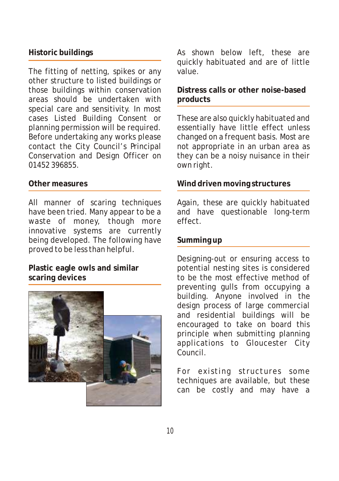#### **Historic buildings**

The fitting of netting, spikes or any other structure to listed buildings or those buildings within conservation areas should be undertaken with special care and sensitivity. In most cases Listed Building Consent or planning permission will be required. Before undertaking any works please contact the City Council's Principal Conservation and Design Officer on 01452 396855.

#### **Other measures**

All manner of scaring techniques have been tried. Many appear to be a waste of money, though more innovative systems are currently being developed. The following have proved to be less than helpful.

**Plastic eagle owls and similar scaring devices**



As shown below left, these are quickly habituated and are of little value.

**Distress calls or other noise-based products**

These are also quickly habituated and essentially have little effect unless changed on a frequent basis. Most are not appropriate in an urban area as they can be a noisy nuisance in their own right.

#### **Wind driven moving structures**

Again, these are quickly habituated and have questionable long-term effect.

#### **Summing up**

Designing-out or ensuring access to potential nesting sites is considered to be the most effective method of preventing gulls from occupying a building. Anyone involved in the design process of large commercial and residential buildings will be encouraged to take on board this principle when submitting planning applications to Gloucester City Council.

For existing structures some techniques are available, but these can be costly and may have a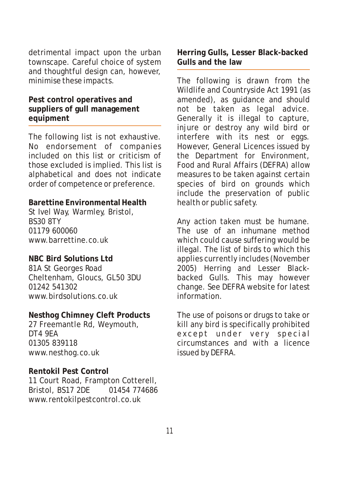detrimental impact upon the urban townscape. Careful choice of system and thoughtful design can, however, minimise these impacts.

**Pest control operatives and suppliers of gull management equipment**

The following list is not exhaustive. No endorsement of companies included on this list or criticism of those excluded is implied. This list is alphabetical and does not indicate order of competence or preference.

**Barettine Environmental Health** St Ivel Way, Warmley, Bristol, BS30 8TY 01179 600060 www.barrettine.co.uk

**NBC Bird Solutions Ltd** 81A St Georges Road Cheltenham, Gloucs, GL50 3DU 01242 541302 www.birdsolutions.co.uk

**Nesthog Chimney Cleft Products** 27 Freemantle Rd, Weymouth, DT4 9EA 01305 839118 www.nesthog.co.uk

**Rentokil Pest Control** 11 Court Road, Frampton Cotterell, Bristol, BS17 2DE 01454 774686 www.rentokilpestcontrol.co.uk

**Herring Gulls, Lesser Black-backed Gulls and the law**

The following is drawn from the Wildlife and Countryside Act 1991 (as amended), as guidance and should not be taken as legal advice. Generally it is illegal to capture, injure or destroy any wild bird or interfere with its nest or eggs. However, General Licences issued by the Department for Environment, Food and Rural Affairs (DEFRA) allow measures to be taken against certain species of bird on grounds which include the preservation of public health or public safety.

Any action taken must be humane. The use of an inhumane method which could cause suffering would be illegal. The list of birds to which this applies currently includes (November 2005) Herring and Lesser Blackbacked Gulls. This may however change. See DEFRA website for latest information.

The use of poisons or drugs to take or kill any bird is specifically prohibited except under very special circumstances and with a licence issued by DEFRA.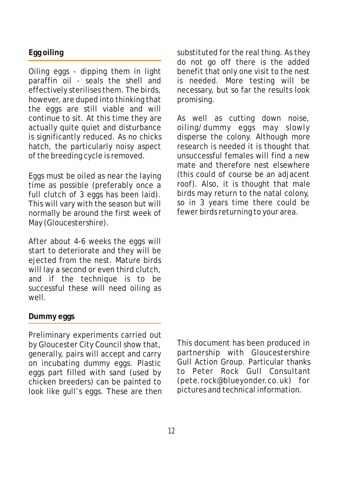#### **Egg oiling**

Oiling eggs - dipping them in light paraffin oil - seals the shell and effectively sterilises them. The birds, however, are duped into thinking that the eggs are still viable and will continue to sit. At this time they are actually quite quiet and disturbance is significantly reduced. As no chicks hatch, the particularly noisy aspect of the breeding cycle is removed.

Eggs must be oiled as near the laying time as possible (preferably once a full clutch of 3 eggs has been laid). This will vary with the season but will normally be around the first week of May (Gloucestershire).

After about 4-6 weeks the eggs will start to deteriorate and they will be ejected from the nest. Mature birds will lay a second or even third clutch, and if the technique is to be successful these will need oiling as well.

#### **Dummy eggs**

Preliminary experiments carried out by Gloucester City Council show that, generally, pairs will accept and carry on incubating dummy eggs. Plastic eggs part filled with sand (used by chicken breeders) can be painted to look like gull's eggs. These are then substituted for the real thing. As they do not go off there is the added benefit that only one visit to the nest is needed. More testing will be necessary, but so far the results look promising.

As well as cutting down noise, oiling/dummy eggs may slowly disperse the colony. Although more research is needed it is thought that unsuccessful females will find a new mate and therefore nest elsewhere (this could of course be an adjacent roof). Also, it is thought that male birds may return to the natal colony, so in 3 years time there could be fewer birds returning to your area.

This document has been produced in partnership with Gloucestershire Gull Action Group. Particular thanks to Peter Rock Gull Consultant (pete.rock@blueyonder.co.uk) for pictures and technical information.